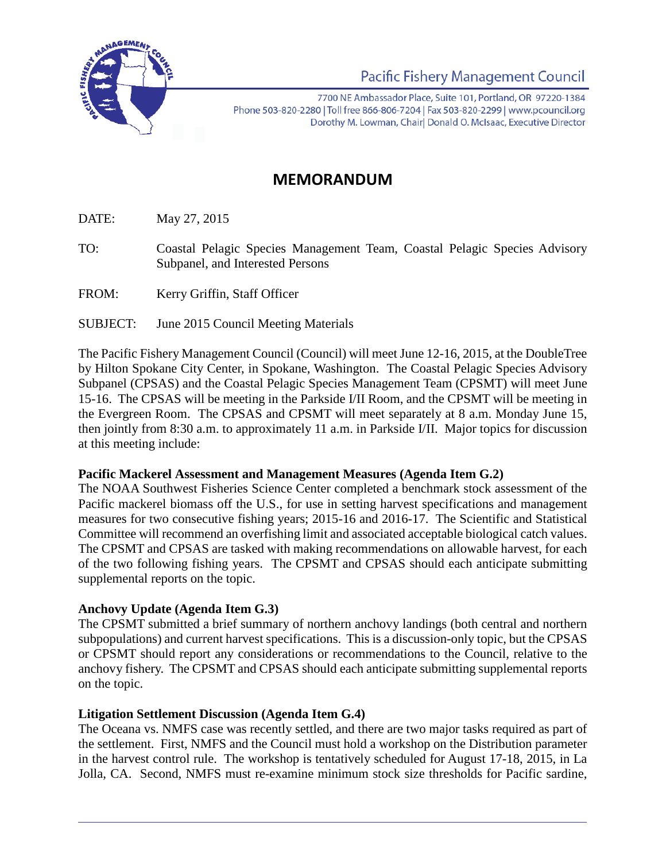

**Pacific Fishery Management Council** 

7700 NE Ambassador Place, Suite 101, Portland, OR 97220-1384 Phone 503-820-2280 | Toll free 866-806-7204 | Fax 503-820-2299 | www.pcouncil.org Dorothy M. Lowman, Chair| Donald O. McIsaac, Executive Director

# **MEMORANDUM**

DATE: May 27, 2015

- TO: Coastal Pelagic Species Management Team, Coastal Pelagic Species Advisory Subpanel, and Interested Persons
- FROM: Kerry Griffin, Staff Officer
- SUBJECT: June 2015 Council Meeting Materials

The Pacific Fishery Management Council (Council) will meet June 12-16, 2015, at the DoubleTree by Hilton Spokane City Center, in Spokane, Washington. The Coastal Pelagic Species Advisory Subpanel (CPSAS) and the Coastal Pelagic Species Management Team (CPSMT) will meet June 15-16. The CPSAS will be meeting in the Parkside I/II Room, and the CPSMT will be meeting in the Evergreen Room. The CPSAS and CPSMT will meet separately at 8 a.m. Monday June 15, then jointly from 8:30 a.m. to approximately 11 a.m. in Parkside I/II. Major topics for discussion at this meeting include:

#### **Pacific Mackerel Assessment and Management Measures (Agenda Item G.2)**

The NOAA Southwest Fisheries Science Center completed a benchmark stock assessment of the Pacific mackerel biomass off the U.S., for use in setting harvest specifications and management measures for two consecutive fishing years; 2015-16 and 2016-17. The Scientific and Statistical Committee will recommend an overfishing limit and associated acceptable biological catch values. The CPSMT and CPSAS are tasked with making recommendations on allowable harvest, for each of the two following fishing years. The CPSMT and CPSAS should each anticipate submitting supplemental reports on the topic.

# **Anchovy Update (Agenda Item G.3)**

The CPSMT submitted a brief summary of northern anchovy landings (both central and northern subpopulations) and current harvest specifications. This is a discussion-only topic, but the CPSAS or CPSMT should report any considerations or recommendations to the Council, relative to the anchovy fishery. The CPSMT and CPSAS should each anticipate submitting supplemental reports on the topic.

# **Litigation Settlement Discussion (Agenda Item G.4)**

The Oceana vs. NMFS case was recently settled, and there are two major tasks required as part of the settlement. First, NMFS and the Council must hold a workshop on the Distribution parameter in the harvest control rule. The workshop is tentatively scheduled for August 17-18, 2015, in La Jolla, CA. Second, NMFS must re-examine minimum stock size thresholds for Pacific sardine,